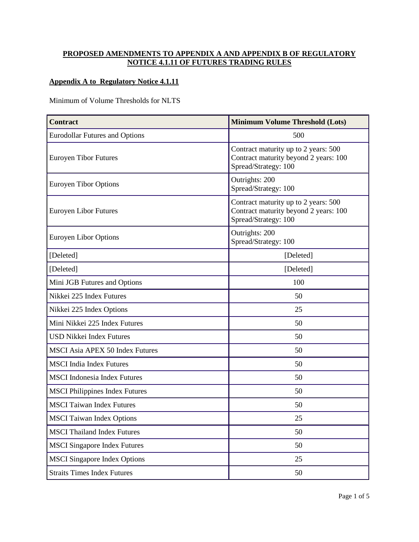## **PROPOSED AMENDMENTS TO APPENDIX A AND APPENDIX B OF REGULATORY NOTICE 4.1.11 OF FUTURES TRADING RULES**

## **Appendix A to Regulatory Notice 4.1.11**

Minimum of Volume Thresholds for NLTS

| <b>Contract</b>                        | <b>Minimum Volume Threshold (Lots)</b>                                                                |
|----------------------------------------|-------------------------------------------------------------------------------------------------------|
| <b>Eurodollar Futures and Options</b>  | 500                                                                                                   |
| <b>Euroyen Tibor Futures</b>           | Contract maturity up to 2 years: 500<br>Contract maturity beyond 2 years: 100<br>Spread/Strategy: 100 |
| <b>Euroyen Tibor Options</b>           | Outrights: 200<br>Spread/Strategy: 100                                                                |
| <b>Euroyen Libor Futures</b>           | Contract maturity up to 2 years: 500<br>Contract maturity beyond 2 years: 100<br>Spread/Strategy: 100 |
| <b>Euroyen Libor Options</b>           | Outrights: 200<br>Spread/Strategy: 100                                                                |
| [Deleted]                              | [Deleted]                                                                                             |
| [Deleted]                              | [Deleted]                                                                                             |
| Mini JGB Futures and Options           | 100                                                                                                   |
| Nikkei 225 Index Futures               | 50                                                                                                    |
| Nikkei 225 Index Options               | 25                                                                                                    |
| Mini Nikkei 225 Index Futures          | 50                                                                                                    |
| <b>USD Nikkei Index Futures</b>        | 50                                                                                                    |
| <b>MSCI Asia APEX 50 Index Futures</b> | 50                                                                                                    |
| <b>MSCI</b> India Index Futures        | 50                                                                                                    |
| <b>MSCI</b> Indonesia Index Futures    | 50                                                                                                    |
| <b>MSCI Philippines Index Futures</b>  | 50                                                                                                    |
| <b>MSCI</b> Taiwan Index Futures       | 50                                                                                                    |
| <b>MSCI</b> Taiwan Index Options       | 25                                                                                                    |
| <b>MSCI</b> Thailand Index Futures     | 50                                                                                                    |
| <b>MSCI</b> Singapore Index Futures    | 50                                                                                                    |
| <b>MSCI</b> Singapore Index Options    | 25                                                                                                    |
| <b>Straits Times Index Futures</b>     | 50                                                                                                    |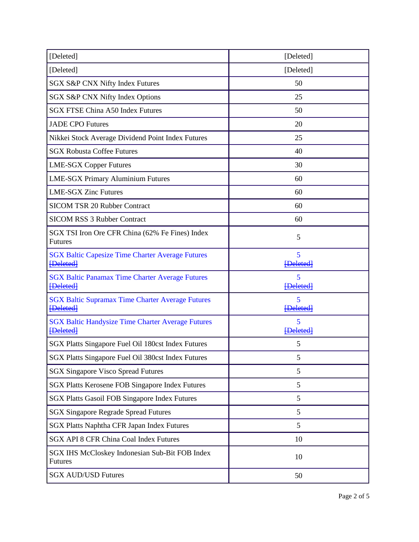| [Deleted]                                                                    | [Deleted]             |
|------------------------------------------------------------------------------|-----------------------|
| [Deleted]                                                                    | [Deleted]             |
| SGX S&P CNX Nifty Index Futures                                              | 50                    |
| SGX S&P CNX Nifty Index Options                                              | 25                    |
| <b>SGX FTSE China A50 Index Futures</b>                                      | 50                    |
| <b>JADE CPO Futures</b>                                                      | 20                    |
| Nikkei Stock Average Dividend Point Index Futures                            | 25                    |
| <b>SGX Robusta Coffee Futures</b>                                            | 40                    |
| <b>LME-SGX Copper Futures</b>                                                | 30                    |
| <b>LME-SGX Primary Aluminium Futures</b>                                     | 60                    |
| <b>LME-SGX Zinc Futures</b>                                                  | 60                    |
| <b>SICOM TSR 20 Rubber Contract</b>                                          | 60                    |
| <b>SICOM RSS 3 Rubber Contract</b>                                           | 60                    |
| SGX TSI Iron Ore CFR China (62% Fe Fines) Index<br><b>Futures</b>            | 5                     |
| <b>SGX Baltic Capesize Time Charter Average Futures</b><br><b>{Deleted}</b>  | 5<br><b>Deletedl</b>  |
| <b>SGX Baltic Panamax Time Charter Average Futures</b><br><b>{Deleted}</b>   | 5<br><b>{Deleted}</b> |
| <b>SGX Baltic Supramax Time Charter Average Futures</b><br>[Deleted]         | 5<br>[Deleted]        |
| <b>SGX Baltic Handysize Time Charter Average Futures</b><br><b>{Deleted}</b> | 5<br>[Deleted]        |
| SGX Platts Singapore Fuel Oil 180cst Index Futures                           | 5                     |
| SGX Platts Singapore Fuel Oil 380cst Index Futures                           | 5                     |
| <b>SGX Singapore Visco Spread Futures</b>                                    | 5                     |
| SGX Platts Kerosene FOB Singapore Index Futures                              | 5                     |
| <b>SGX Platts Gasoil FOB Singapore Index Futures</b>                         | 5                     |
| <b>SGX Singapore Regrade Spread Futures</b>                                  | 5                     |
| SGX Platts Naphtha CFR Japan Index Futures                                   | 5                     |
| <b>SGX API 8 CFR China Coal Index Futures</b>                                | 10                    |
| SGX IHS McCloskey Indonesian Sub-Bit FOB Index<br><b>Futures</b>             | 10                    |
| <b>SGX AUD/USD Futures</b>                                                   | 50                    |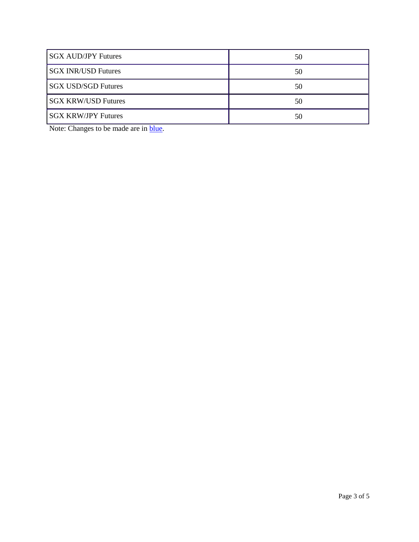| <b>SGX AUD/JPY Futures</b> | 50 |
|----------------------------|----|
| <b>SGX INR/USD Futures</b> | 50 |
| <b>SGX USD/SGD Futures</b> | 50 |
| <b>SGX KRW/USD Futures</b> | 50 |
| <b>SGX KRW/JPY Futures</b> | 50 |

Note: Changes to be made are in **blue**.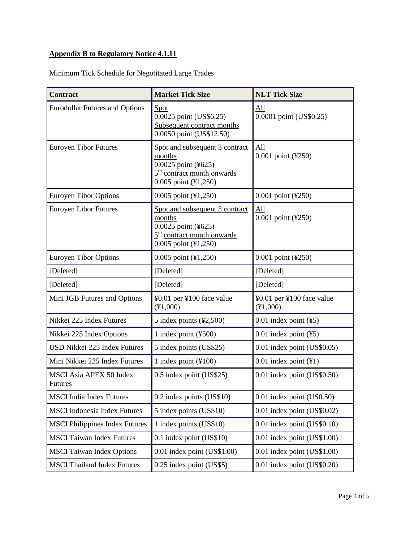## **Appendix B to Regulatory Notice 4.1.11**

| <b>Contract</b>                                  | <b>Market Tick Size</b>                                                                                                           | <b>NLT Tick Size</b>                  |
|--------------------------------------------------|-----------------------------------------------------------------------------------------------------------------------------------|---------------------------------------|
| <b>Eurodollar Futures and Options</b>            | <b>Spot</b><br>0.0025 point (US\$6.25)<br>Subsequent contract months<br>0.0050 point (US\$12.50)                                  | All<br>0.0001 point (US\$0.25)        |
| <b>Euroyen Tibor Futures</b>                     | Spot and subsequent 3 contract<br>months<br>0.0025 point (¥625)<br>$5th$ contract month onwards<br>0.005 point (¥1,250)           | All<br>0.001 point (¥250)             |
| <b>Euroyen Tibor Options</b>                     | 0.005 point (¥1,250)                                                                                                              | 0.001 point (¥250)                    |
| Euroyen Libor Futures                            | Spot and subsequent 3 contract<br>months<br>0.0025 point (¥625)<br>5 <sup>th</sup> contract month onwards<br>0.005 point (¥1,250) | All<br>0.001 point (¥250)             |
| <b>Euroyen Tibor Options</b>                     | 0.005 point (¥1,250)                                                                                                              | 0.001 point (¥250)                    |
| [Deleted]                                        | [Deleted]                                                                                                                         | [Deleted]                             |
| [Deleted]                                        | [Deleted]                                                                                                                         | [Deleted]                             |
| Mini JGB Futures and Options                     | ¥0.01 per ¥100 face value<br>(41,000)                                                                                             | ¥0.01 per ¥100 face value<br>(41,000) |
| Nikkei 225 Index Futures                         | 5 index points $(*2,500)$                                                                                                         | $0.01$ index point $(\frac{45}{3})$   |
| Nikkei 225 Index Options                         | 1 index point $(\text{\textless} 500)$                                                                                            | $0.01$ index point $(\frac{45}{3})$   |
| USD Nikkei 225 Index Futures                     | 5 index points (US\$25)                                                                                                           | 0.01 index point (US\$0.05)           |
| Mini Nikkei 225 Index Futures                    | 1 index point $(\text{\textless} 100)$                                                                                            | $0.01$ index point $(\yen 1)$         |
| <b>MSCI Asia APEX 50 Index</b><br><b>Futures</b> | 0.5 index point (US\$25)                                                                                                          | 0.01 index point (US\$0.50)           |
| <b>MSCI</b> India Index Futures                  | 0.2 index points (US\$10)                                                                                                         | $0.01$ index point (US0.50)           |
| <b>MSCI</b> Indonesia Index Futures              | 5 index points (US\$10)                                                                                                           | 0.01 index point (US\$0.02)           |
| <b>MSCI Philippines Index Futures</b>            | 1 index points (US\$10)                                                                                                           | $0.01$ index point (US\$0.10)         |
| <b>MSCI</b> Taiwan Index Futures                 | 0.1 index point (US\$10)                                                                                                          | 0.01 index point (US\$1.00)           |
| <b>MSCI</b> Taiwan Index Options                 | $0.01$ index point (US\$1.00)                                                                                                     | 0.01 index point (US\$1.00)           |
| <b>MSCI Thailand Index Futures</b>               | 0.25 index point (US\$5)                                                                                                          | 0.01 index point (US\$0.20)           |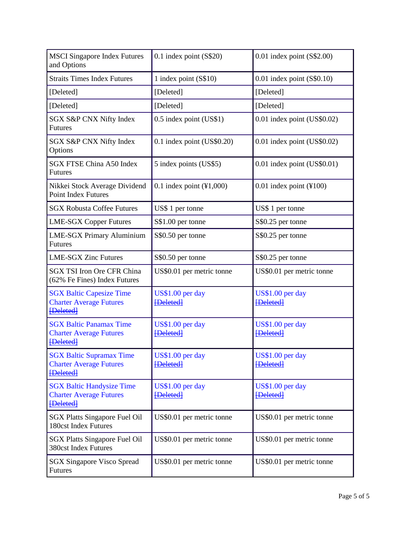| <b>MSCI</b> Singapore Index Futures<br>and Options                                     | $0.1$ index point (S\$20)                     | $0.01$ index point (S\$2.00)         |
|----------------------------------------------------------------------------------------|-----------------------------------------------|--------------------------------------|
| <b>Straits Times Index Futures</b>                                                     | 1 index point (S\$10)                         | $0.01$ index point $(S$0.10)$        |
| [Deleted]                                                                              | [Deleted]                                     | [Deleted]                            |
| [Deleted]                                                                              | [Deleted]                                     | [Deleted]                            |
| SGX S&P CNX Nifty Index<br><b>Futures</b>                                              | 0.5 index point (US\$1)                       | 0.01 index point (US\$0.02)          |
| SGX S&P CNX Nifty Index<br>Options                                                     | 0.1 index point (US\$0.20)                    | 0.01 index point (US\$0.02)          |
| <b>SGX FTSE China A50 Index</b><br><b>Futures</b>                                      | 5 index points (US\$5)                        | 0.01 index point (US\$0.01)          |
| Nikkei Stock Average Dividend<br><b>Point Index Futures</b>                            | 0.1 index point $(\text{\textsterling}1,000)$ | $0.01$ index point (¥100)            |
| <b>SGX Robusta Coffee Futures</b>                                                      | US\$ 1 per tonne                              | US\$ 1 per tonne                     |
| <b>LME-SGX Copper Futures</b>                                                          | S\$1.00 per tonne                             | S\$0.25 per tonne                    |
| <b>LME-SGX Primary Aluminium</b><br><b>Futures</b>                                     | S\$0.50 per tonne                             | S\$0.25 per tonne                    |
| <b>LME-SGX Zinc Futures</b>                                                            | S\$0.50 per tonne                             | S\$0.25 per tonne                    |
| <b>SGX TSI Iron Ore CFR China</b><br>(62% Fe Fines) Index Futures                      | US\$0.01 per metric tonne                     | US\$0.01 per metric tonne            |
| <b>SGX Baltic Capesize Time</b><br><b>Charter Average Futures</b><br><b>[Deleted]</b>  | US\$1.00 per day<br><b>{Deleted}</b>          | US\$1.00 per day<br><b>{Deleted}</b> |
| <b>SGX Baltic Panamax Time</b><br><b>Charter Average Futures</b><br><b>[Deleted]</b>   | US\$1.00 per day<br>[Deleted]                 | US\$1.00 per day<br>[Deleted]        |
| <b>SGX Baltic Supramax Time</b><br><b>Charter Average Futures</b><br><b>{Deleted}</b>  | US\$1.00 per day<br>[Deleted]                 | US\$1.00 per day<br>[Deleted]        |
| <b>SGX Baltic Handysize Time</b><br><b>Charter Average Futures</b><br><b>[Deleted]</b> | US\$1.00 per day<br><b>[Deleted]</b>          | US\$1.00 per day<br>[Deleted]        |
| <b>SGX Platts Singapore Fuel Oil</b><br><b>180cst Index Futures</b>                    | US\$0.01 per metric tonne                     | US\$0.01 per metric tonne            |
| <b>SGX Platts Singapore Fuel Oil</b><br><b>380cst Index Futures</b>                    | US\$0.01 per metric tonne                     | US\$0.01 per metric tonne            |
| <b>SGX Singapore Visco Spread</b><br><b>Futures</b>                                    | US\$0.01 per metric tonne                     | US\$0.01 per metric tonne            |